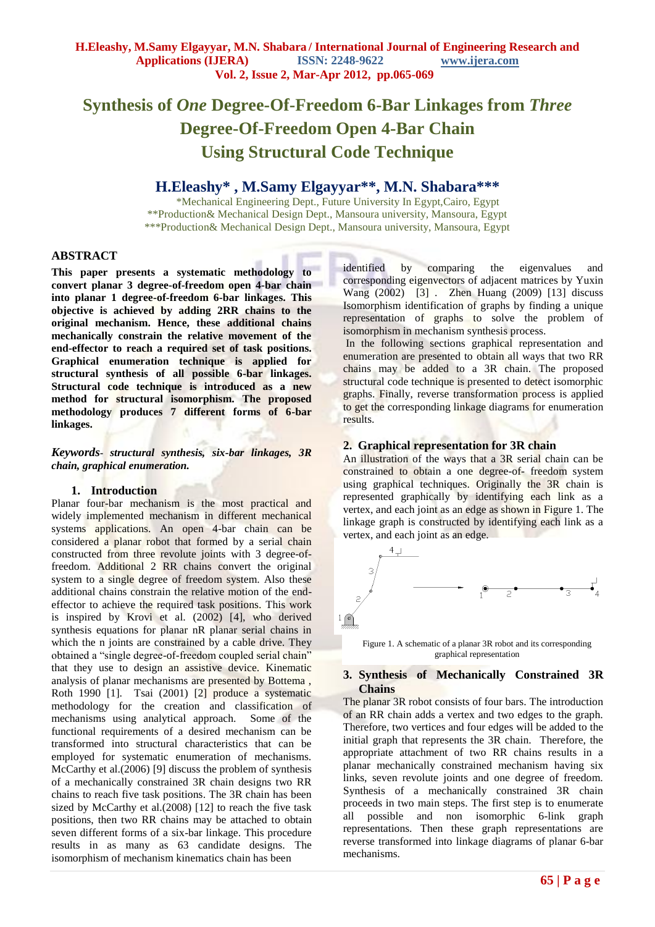# **Synthesis of** *One* **Degree-Of-Freedom 6-Bar Linkages from** *Three* **Degree-Of-Freedom Open 4-Bar Chain Using Structural Code Technique**

# **H.Eleashy\* , M.Samy Elgayyar\*\*, M.N. Shabara\*\*\***

\*Mechanical Engineering Dept., Future University In Egypt,Cairo, Egypt \*\*Production& Mechanical Design Dept., Mansoura university, Mansoura, Egypt \*\*\*Production& Mechanical Design Dept., Mansoura university, Mansoura, Egypt

# **ABSTRACT**

**This paper presents a systematic methodology to convert planar 3 degree-of-freedom open 4-bar chain into planar 1 degree-of-freedom 6-bar linkages. This objective is achieved by adding 2RR chains to the original mechanism. Hence, these additional chains mechanically constrain the relative movement of the end-effector to reach a required set of task positions. Graphical enumeration technique is applied for structural synthesis of all possible 6-bar linkages. Structural code technique is introduced as a new method for structural isomorphism. The proposed methodology produces 7 different forms of 6-bar linkages.** 

*Keywords- structural synthesis, six-bar linkages, 3R chain, graphical enumeration.* 

# **1. Introduction**

Planar four-bar mechanism is the most practical and widely implemented mechanism in different mechanical systems applications. An open 4-bar chain can be considered a planar robot that formed by a serial chain constructed from three revolute joints with 3 degree-offreedom. Additional 2 RR chains convert the original system to a single degree of freedom system. Also these additional chains constrain the relative motion of the endeffector to achieve the required task positions. This work is inspired by Krovi et al. (2002) [4], who derived synthesis equations for planar nR planar serial chains in which the n joints are constrained by a cable drive. They obtained a "single degree-of-freedom coupled serial chain" that they use to design an assistive device. Kinematic analysis of planar mechanisms are presented by Bottema , Roth 1990 [1]. Tsai (2001) [2] produce a systematic methodology for the creation and classification of mechanisms using analytical approach. Some of the functional requirements of a desired mechanism can be transformed into structural characteristics that can be employed for systematic enumeration of mechanisms. McCarthy et al. (2006) [9] discuss the problem of synthesis of a mechanically constrained 3R chain designs two RR chains to reach five task positions. The 3R chain has been sized by McCarthy et al.(2008) [12] to reach the five task positions, then two RR chains may be attached to obtain seven different forms of a six-bar linkage. This procedure results in as many as 63 candidate designs. The isomorphism of mechanism kinematics chain has been

identified by comparing the eigenvalues and corresponding eigenvectors of adjacent matrices by Yuxin Wang (2002) [3] . Zhen Huang (2009) [13] discuss Isomorphism identification of graphs by finding a unique representation of graphs to solve the problem of isomorphism in mechanism synthesis process.

In the following sections graphical representation and enumeration are presented to obtain all ways that two RR chains may be added to a 3R chain. The proposed structural code technique is presented to detect isomorphic graphs. Finally, reverse transformation process is applied to get the corresponding linkage diagrams for enumeration results.

# **2. Graphical representation for 3R chain**

An illustration of the ways that a 3R serial chain can be constrained to obtain a one degree-of- freedom system using graphical techniques. Originally the 3R chain is represented graphically by identifying each link as a vertex, and each joint as an edge as shown in Figure 1. The linkage graph is constructed by identifying each link as a vertex, and each joint as an edge.



Figure 1. A schematic of a planar 3R robot and its corresponding graphical representation

# **3. Synthesis of Mechanically Constrained 3R Chains**

The planar 3R robot consists of four bars. The introduction of an RR chain adds a vertex and two edges to the graph. Therefore, two vertices and four edges will be added to the initial graph that represents the 3R chain. Therefore, the appropriate attachment of two RR chains results in a planar mechanically constrained mechanism having six links, seven revolute joints and one degree of freedom. Synthesis of a mechanically constrained 3R chain proceeds in two main steps. The first step is to enumerate all possible and non isomorphic 6-link graph representations. Then these graph representations are reverse transformed into linkage diagrams of planar 6-bar mechanisms.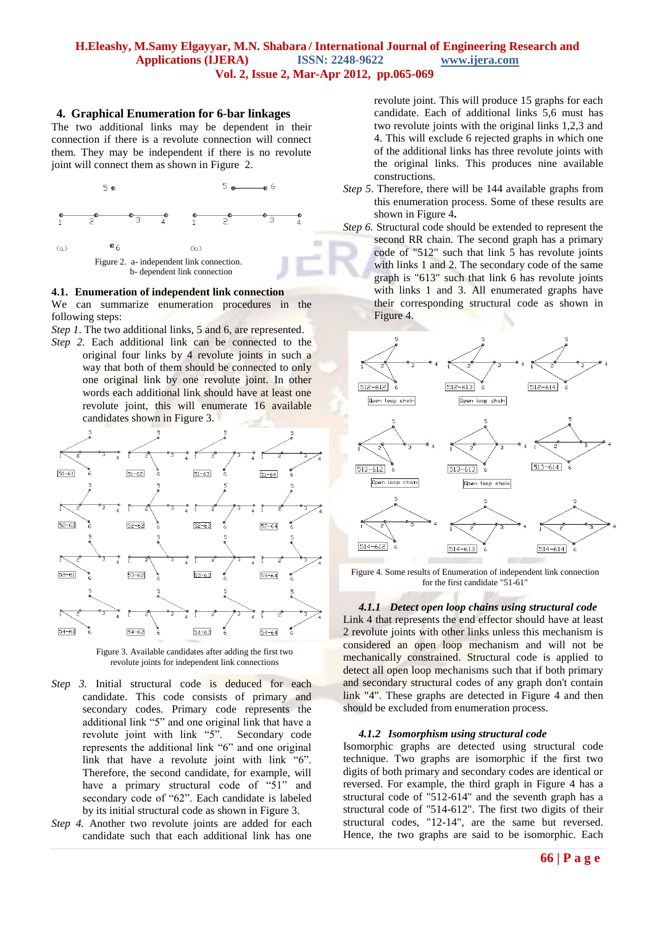#### **4. Graphical Enumeration for 6-bar linkages**

The two additional links may be dependent in their connection if there is a revolute connection will connect them. They may be independent if there is no revolute joint will connect them as shown in Figure 2.



#### **4.1. Enumeration of independent link connection**

We can summarize enumeration procedures in the following steps:

*Step 1*. The two additional links, 5 and 6, are represented.

*Step 2.* Each additional link can be connected to the original four links by 4 revolute joints in such a way that both of them should be connected to only one original link by one revolute joint. In other words each additional link should have at least one revolute joint, this will enumerate 16 available candidates shown in Figure 3.





- *Step 3.* Initial structural code is deduced for each candidate. This code consists of primary and secondary codes. Primary code represents the additional link "5" and one original link that have a revolute joint with link "5". Secondary code represents the additional link "6" and one original link that have a revolute joint with link "6". Therefore, the second candidate, for example, will have a primary structural code of "51" and secondary code of "62". Each candidate is labeled by its initial structural code as shown in Figure 3.
- *Step 4.* Another two revolute joints are added for each candidate such that each additional link has one

revolute joint. This will produce 15 graphs for each candidate. Each of additional links 5,6 must has two revolute joints with the original links 1,2,3 and 4. This will exclude 6 rejected graphs in which one of the additional links has three revolute joints with the original links. This produces nine available constructions.

- *Step 5*. Therefore, there will be 144 available graphs from this enumeration process. Some of these results are shown in Figure 4**.**
- *Step 6.* Structural code should be extended to represent the second RR chain. The second graph has a primary code of "512" such that link 5 has revolute joints with links 1 and 2. The secondary code of the same graph is "613" such that link 6 has revolute joints with links 1 and 3. All enumerated graphs have their corresponding structural code as shown in Figure 4.



Figure 4. Some results of Enumeration of independent link connection for the first candidate "51-61"

*4.1.1 Detect open loop chains using structural code* Link 4 that represents the end effector should have at least 2 revolute joints with other links unless this mechanism is considered an open loop mechanism and will not be mechanically constrained. Structural code is applied to detect all open loop mechanisms such that if both primary and secondary structural codes of any graph don't contain link "4". These graphs are detected in Figure 4 and then should be excluded from enumeration process.

#### *4.1.2 Isomorphism using structural code*

Isomorphic graphs are detected using structural code technique. Two graphs are isomorphic if the first two digits of both primary and secondary codes are identical or reversed. For example, the third graph in Figure 4 has a structural code of "512-614" and the seventh graph has a structural code of "514-612". The first two digits of their structural codes, "12-14", are the same but reversed. Hence, the two graphs are said to be isomorphic. Each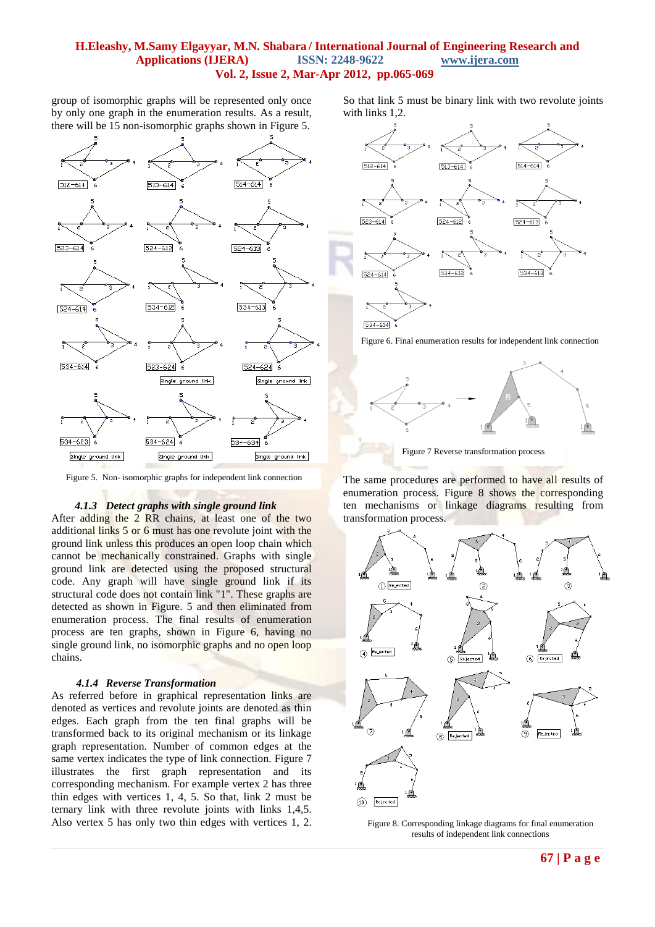group of isomorphic graphs will be represented only once by only one graph in the enumeration results. As a result, there will be 15 non-isomorphic graphs shown in Figure 5.



Figure 5. Non- isomorphic graphs for independent link connection

#### *4.1.3 Detect graphs with single ground link*

After adding the 2 RR chains, at least one of the two additional links 5 or 6 must has one revolute joint with the ground link unless this produces an open loop chain which cannot be mechanically constrained. Graphs with single ground link are detected using the proposed structural code. Any graph will have single ground link if its structural code does not contain link "1". These graphs are detected as shown in Figure. 5 and then eliminated from enumeration process. The final results of enumeration process are ten graphs, shown in Figure 6, having no single ground link, no isomorphic graphs and no open loop chains.

## *4.1.4 Reverse Transformation*

As referred before in graphical representation links are denoted as vertices and revolute joints are denoted as thin edges. Each graph from the ten final graphs will be transformed back to its original mechanism or its linkage graph representation. Number of common edges at the same vertex indicates the type of link connection. Figure 7 illustrates the first graph representation and its corresponding mechanism. For example vertex 2 has three thin edges with vertices 1, 4, 5. So that, link 2 must be ternary link with three revolute joints with links 1,4,5. Also vertex 5 has only two thin edges with vertices 1, 2.

So that link 5 must be binary link with two revolute joints with links 1,2.



Figure 6. Final enumeration results for independent link connection



Figure 7 Reverse transformation process

The same procedures are performed to have all results of enumeration process. Figure 8 shows the corresponding ten mechanisms or linkage diagrams resulting from transformation process.



results of independent link connections Figure 8. Corresponding linkage diagrams for final enumeration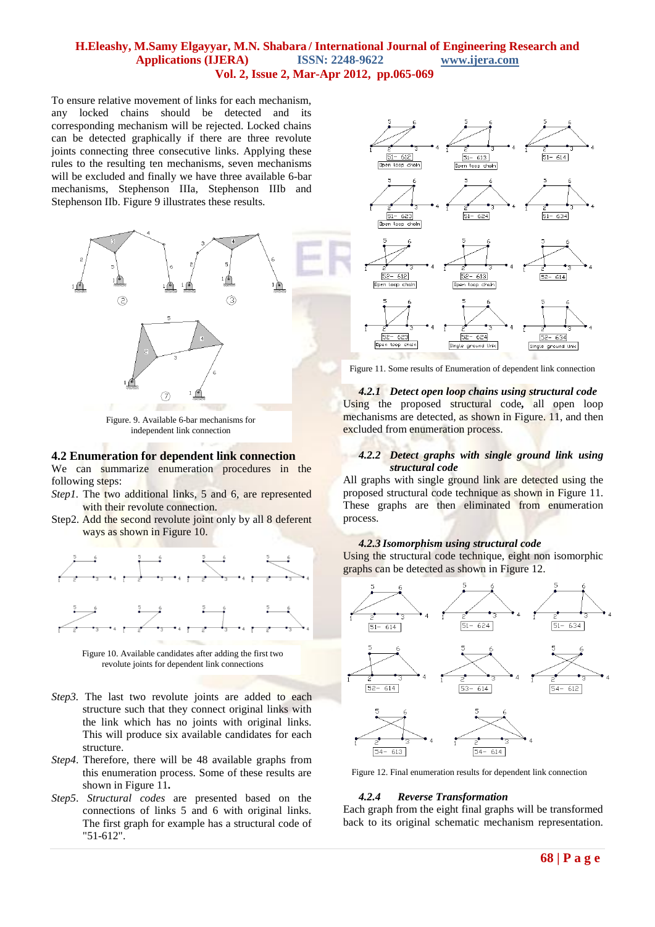To ensure relative movement of links for each mechanism, any locked chains should be detected and its corresponding mechanism will be rejected. Locked chains can be detected graphically if there are three revolute joints connecting three consecutive links. Applying these rules to the resulting ten mechanisms, seven mechanisms will be excluded and finally we have three available 6-bar mechanisms, Stephenson IIIa, Stephenson IIIb and Stephenson IIb. Figure 9 illustrates these results.



Figure. 9. Available 6-bar mechanisms for independent link connection

#### **4.2 Enumeration for dependent link connection**

We can summarize enumeration procedures in the following steps:

- *Step1*. The two additional links, 5 and 6, are represented with their revolute connection.
- Step2. Add the second revolute joint only by all 8 deferent ways as shown in Figure 10.



Figure 10. Available candidates after adding the first two revolute joints for dependent link connections

- *Step3*. The last two revolute joints are added to each structure such that they connect original links with the link which has no joints with original links. This will produce six available candidates for each structure.
- *Step4*. Therefore, there will be 48 available graphs from this enumeration process. Some of these results are shown in Figure 11**.**
- *Step5*. *Structural codes* are presented based on the connections of links 5 and 6 with original links. The first graph for example has a structural code of "51-612".



Figure 11. Some results of Enumeration of dependent link connection

*4.2.1 Detect open loop chains using structural code*  Using the proposed structural code*,* all open loop mechanisms are detected, as shown in Figure. 11, and then excluded from enumeration process.

#### *4.2.2 Detect graphs with single ground link using structural code*

All graphs with single ground link are detected using the proposed structural code technique as shown in Figure 11. These graphs are then eliminated from enumeration process.

## *4.2.3 Isomorphism using structural code*

Using the structural code technique, eight non isomorphic graphs can be detected as shown in Figure 12.



Figure 12. Final enumeration results for dependent link connection

#### *4.2.4 Reverse Transformation*

Each graph from the eight final graphs will be transformed back to its original schematic mechanism representation.